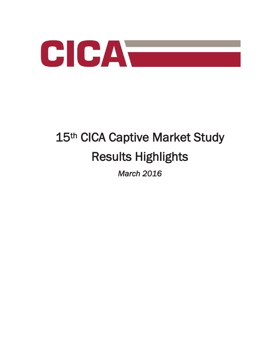

# 15<sup>th</sup> CICA Captive Market Study Results Highlights

*March 2016*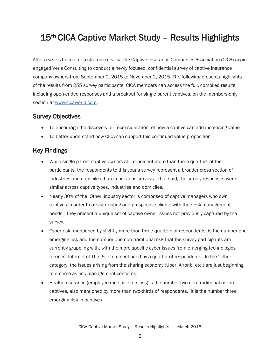## 15<sup>th</sup> CICA Captive Market Study - Results Highlights

After a year's hiatus for a strategic review, the Captive Insurance Companies Association (CICA) again engaged Veris Consulting to conduct a newly focused, confidential survey of captive insurance company owners from September 9, 2015 to November 2, 2015. The following presents highlights of the results from 255 survey participants. CICA members can access the full, compiled results, including open-ended responses and a breakout for single parent captives, on the members-only section at www.cicaworld.com.

#### Survey Objectives

- To encourage the discovery, or reconsideration, of how a captive can add increasing value
- To better understand how CICA can support this continued value proposition

#### Key Findings

- While single parent captive owners still represent more than three quarters of the participants, the respondents to this year's survey represent a broader cross section of industries and domiciles than in previous surveys. That said, the survey responses were similar across captive types, industries and domiciles.
- Nearly 30% of the 'Other' industry sector is comprised of captive managers who own captives in order to assist existing and prospective clients with their risk management needs. They present a unique set of captive owner issues not previously captured by the survey.
- Cyber risk, mentioned by slightly more than three-quarters of respondents, is the number one emerging risk and the number one non-traditional risk that the survey participants are currently grappling with, with the more specific cyber issues from emerging technologies (drones, Internet of Things, etc.) mentioned by a quarter of respondents. In the 'Other' category, the issues arising from the sharing economy (Uber, Airbnb, etc.) are just beginning to emerge as risk management concerns.
- Health insurance (employee medical stop loss) is the number two non-traditional risk in captives, also mentioned by more than two-thirds of respondents. It is the number three emerging risk in captives.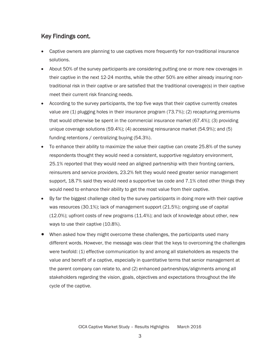### Key Findings cont.

- Captive owners are planning to use captives more frequently for non-traditional insurance solutions.
- About 50% of the survey participants are considering putting one or more new coverages in their captive in the next 12-24 months, while the other 50% are either already insuring nontraditional risk in their captive or are satisfied that the traditional coverage(s) in their captive meet their current risk financing needs.
- According to the survey participants, the top five ways that their captive currently creates value are (1) plugging holes in their insurance program (73.7%); (2) recapturing premiums that would otherwise be spent in the commercial insurance market (67.4%); (3) providing unique coverage solutions (59.4%); (4) accessing reinsurance market (54.9%); and (5) funding retentions / centralizing buying (54.3%).
- $\bullet$  To enhance their ability to maximize the value their captive can create 25.8% of the survey respondents thought they would need a consistent, supportive regulatory environment, 25.1% reported that they would need an aligned partnership with their fronting carriers, reinsurers and service providers, 23.2% felt they would need greater senior management support, 18.7% said they would need a supportive tax code and 7.1% cited other things they would need to enhance their ability to get the most value from their captive.
- By far the biggest challenge cited by the survey participants in doing more with their captive was resources (30.1%); lack of management support (21.5%); ongoing use of capital (12.0%); upfront costs of new programs (11.4%); and lack of knowledge about other, new ways to use their captive (10.8%).
- When asked how they might overcome these challenges, the participants used many different words. However, the message was clear that the keys to overcoming the challenges were twofold: (1) effective communication by and among all stakeholders as respects the value and benefit of a captive, especially in quantitative terms that senior management at the parent company can relate to, and (2) enhanced partnerships/alignments among all stakeholders regarding the vision, goals, objectives and expectations throughout the life cycle of the captive.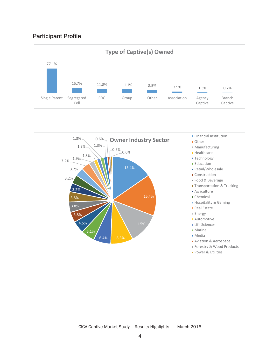#### Participant Profile



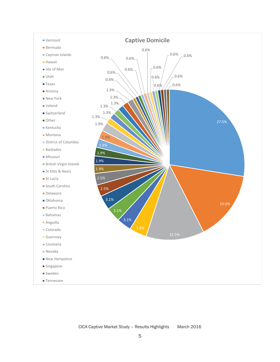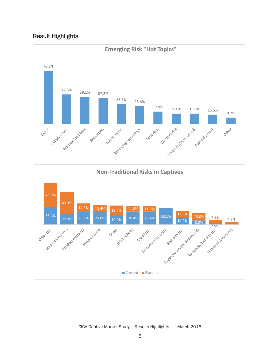#### Result Highlights

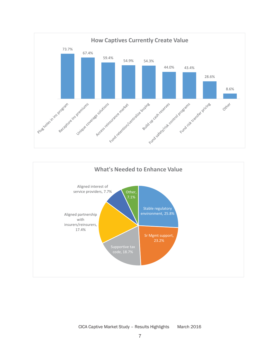



CICA Captive Market Study – Results Highlights March 2016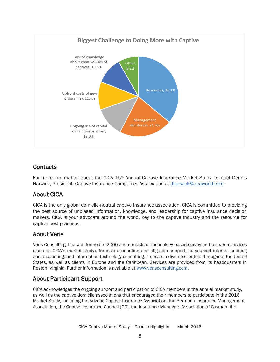

#### **Contacts**

For more information about the CICA 15<sup>th</sup> Annual Captive Insurance Market Study, contact Dennis Harwick, President, Captive Insurance Companies Association at dharwick@cicaworld.com.

#### About CICA

CICA is the only global domicile-neutral captive insurance association. CICA is committed to providing the best source of unbiased information, knowledge, and leadership for captive insurance decision makers. CICA is your advocate around the world, key to the captive industry and *the* resource for captive best practices.

#### About Veris

Veris Consulting, Inc. was formed in 2000 and consists of technology-based survey and research services (such as CICA's market study), forensic accounting and litigation support, outsourced internal auditing and accounting, and information technology consulting. It serves a diverse clientele throughout the United States, as well as clients in Europe and the Caribbean. Services are provided from its headquarters in Reston, Virginia. Further information is available at www.verisconsulting.com.

#### About Participant Support

CICA acknowledges the ongoing support and participation of CICA members in the annual market study, as well as the captive domicile associations that encouraged their members to participate in the 2016 Market Study, including the Arizona Captive Insurance Association, the Bermuda Insurance Management Association, the Captive Insurance Council (DC), the Insurance Managers Association of Cayman, the